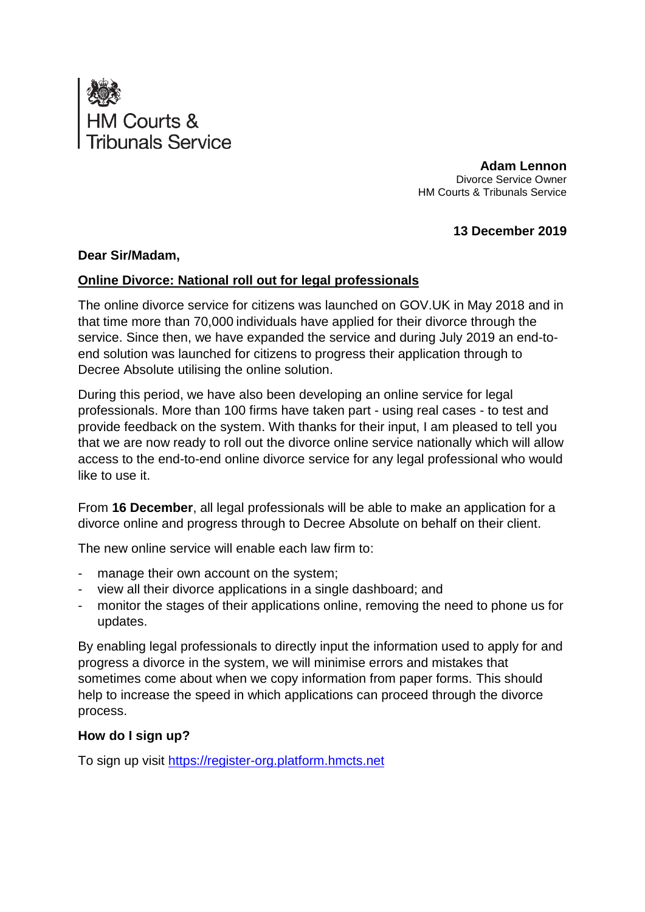

**Adam Lennon** Divorce Service Owner HM Courts & Tribunals Service

## **13 December 2019**

### **Dear Sir/Madam,**

#### **Online Divorce: National roll out for legal professionals**

The online divorce service for citizens was launched on GOV.UK in May 2018 and in that time more than 70,000 individuals have applied for their divorce through the service. Since then, we have expanded the service and during July 2019 an end-toend solution was launched for citizens to progress their application through to Decree Absolute utilising the online solution.

During this period, we have also been developing an online service for legal professionals. More than 100 firms have taken part - using real cases - to test and provide feedback on the system. With thanks for their input, I am pleased to tell you that we are now ready to roll out the divorce online service nationally which will allow access to the end-to-end online divorce service for any legal professional who would like to use it.

From **16 December**, all legal professionals will be able to make an application for a divorce online and progress through to Decree Absolute on behalf on their client.

The new online service will enable each law firm to:

- manage their own account on the system;
- view all their divorce applications in a single dashboard; and
- monitor the stages of their applications online, removing the need to phone us for updates.

By enabling legal professionals to directly input the information used to apply for and progress a divorce in the system, we will minimise errors and mistakes that sometimes come about when we copy information from paper forms. This should help to increase the speed in which applications can proceed through the divorce process.

### **How do I sign up?**

To sign up visit [https://register-org.platform.hmcts.net](https://register-org.platform.hmcts.net/)